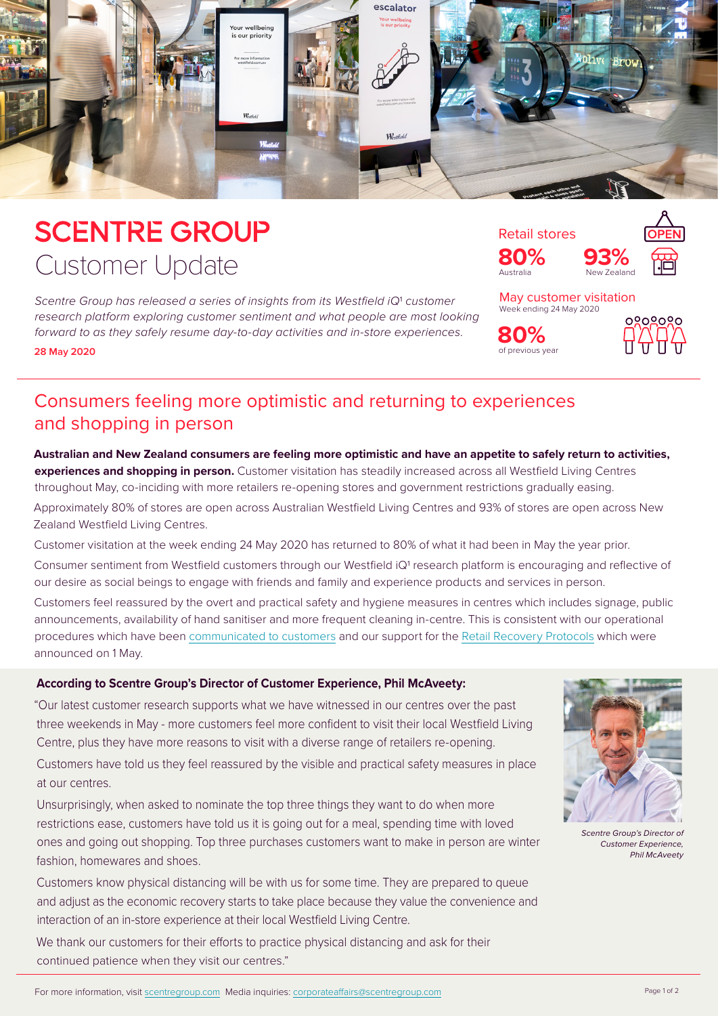

# **SCENTRE GROUP** Customer Update

Scentre Group has released a series of insights from its Westfield iQ<sup>1</sup> customer *research platform exploring customer sentiment and what people are most looking forward to as they safely resume day-to-day activities and in-store experiences.* **28 May 2020**



of previous year **80%**



May customer visitation Week ending 24 May 2020



### Consumers feeling more optimistic and returning to experiences and shopping in person

**Australian and New Zealand consumers are feeling more optimistic and have an appetite to safely return to activities,** 

**experiences and shopping in person.** Customer visitation has steadily increased across all Westfield Living Centres throughout May, co-inciding with more retailers re-opening stores and government restrictions gradually easing. Approximately 80% of stores are open across Australian Westfield Living Centres and 93% of stores are open across New

Zealand Westfield Living Centres.

Customer visitation at the week ending 24 May 2020 has returned to 80% of what it had been in May the year prior.

Consumer sentiment from Westfield customers through our Westfield iQ1 research platform is encouraging and reflective of our desire as social beings to engage with friends and family and experience products and services in person.

Customers feel reassured by the overt and practical safety and hygiene measures in centres which includes signage, public announcements, availability of hand sanitiser and more frequent cleaning in-centre. This is consistent with our operational procedures which have been [communicated to customers](https://www.westfield.com.au/customer-updates/coronavirus) and our support for the [Retail Recovery Protocols](https://www.scca.org.au/wp-content/uploads/2020/05/Joint-Media-Release-NRA-SCCA-SDA-PGA-ARA-Retail-Recovery-Protocol-1May2020.pdf) which were announced on 1 May.

#### **According to Scentre Group's Director of Customer Experience, Phil McAveety:**

"Our latest customer research supports what we have witnessed in our centres over the past three weekends in May - more customers feel more confident to visit their local Westfield Living Centre, plus they have more reasons to visit with a diverse range of retailers re-opening.

Customers have told us they feel reassured by the visible and practical safety measures in place at our centres.

Unsurprisingly, when asked to nominate the top three things they want to do when more restrictions ease, customers have told us it is going out for a meal, spending time with loved ones and going out shopping. Top three purchases customers want to make in person are winter fashion, homewares and shoes.

Customers know physical distancing will be with us for some time. They are prepared to queue and adjust as the economic recovery starts to take place because they value the convenience and interaction of an in-store experience at their local Westfield Living Centre.

We thank our customers for their efforts to practice physical distancing and ask for their continued patience when they visit our centres."



*Scentre Group's Director of Customer Experience, Phil McAveety*